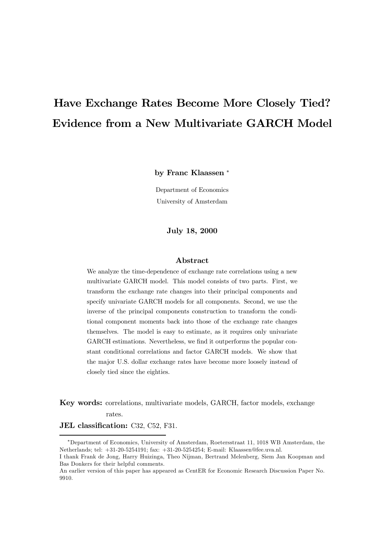# Have Exchange Rates Become More Closely Tied? Evidence from a New Multivariate GARCH Model

by Franc Klaassen<sup>\*</sup>

Department of Economics University of Amsterdam

July 18, 2000

#### Abstract

We analyze the time-dependence of exchange rate correlations using a new multivariate GARCH model. This model consists of two parts. First, we transform the exchange rate changes into their principal components and specify univariate GARCH models for all components. Second, we use the inverse of the principal components construction to transform the conditional component moments back into those of the exchange rate changes themselves. The model is easy to estimate, as it requires only univariate GARCH estimations. Nevertheless, we find it outperforms the popular constant conditional correlations and factor GARCH models. We show that the major U.S. dollar exchange rates have become more loosely instead of closely tied since the eighties.

Key words: correlations, multivariate models, GARCH, factor models, exchange rates.

JEL classification: C32, C52, F31.

<sup>§</sup>Department of Economics, University of Amsterdam, Roetersstraat 11, 1018 WB Amsterdam, the Netherlands; tel: +31-20-5254191; fax: +31-20-5254254; E-mail: Klaassen@fee.uva.nl.

I thank Frank de Jong, Harry Huizinga, Theo Nijman, Bertrand Melenberg, Siem Jan Koopman and Bas Donkers for their helpful comments.

An earlier version of this paper has appeared as CentER for Economic Research Discussion Paper No. 9910.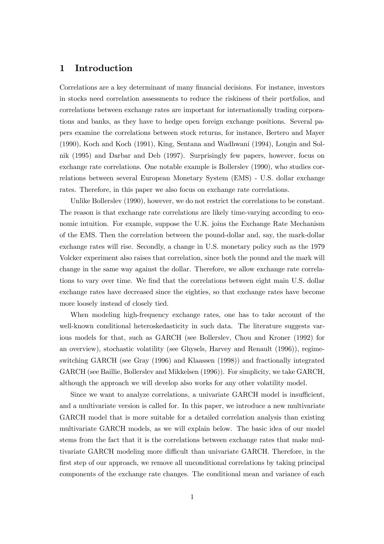# 1 Introduction

Correlations are a key determinant of many financial decisions. For instance, investors in stocks need correlation assessments to reduce the riskiness of their portfolios, and correlations between exchange rates are important for internationally trading corporations and banks, as they have to hedge open foreign exchange positions. Several papers examine the correlations between stock returns, for instance, Bertero and Mayer (1990), Koch and Koch (1991), King, Sentana and Wadhwani (1994), Longin and Solnik (1995) and Darbar and Deb (1997). Surprisingly few papers, however, focus on exchange rate correlations. One notable example is Bollerslev (1990), who studies correlations between several European Monetary System (EMS) - U.S. dollar exchange rates. Therefore, in this paper we also focus on exchange rate correlations.

Unlike Bollerslev (1990), however, we do not restrict the correlations to be constant. The reason is that exchange rate correlations are likely time-varying according to economic intuition. For example, suppose the U.K. joins the Exchange Rate Mechanism of the EMS. Then the correlation between the pound-dollar and, say, the mark-dollar exchange rates will rise. Secondly, a change in U.S. monetary policy such as the 1979 Volcker experiment also raises that correlation, since both the pound and the mark will change in the same way against the dollar. Therefore, we allow exchange rate correlations to vary over time. We find that the correlations between eight main U.S. dollar exchange rates have decreased since the eighties, so that exchange rates have become more loosely instead of closely tied.

When modeling high-frequency exchange rates, one has to take account of the well-known conditional heteroskedasticity in such data. The literature suggests various models for that, such as GARCH (see Bollerslev, Chou and Kroner (1992) for an overview), stochastic volatility (see Ghysels, Harvey and Renault (1996)), regimeswitching GARCH (see Gray (1996) and Klaassen (1998)) and fractionally integrated GARCH (see Baillie, Bollerslev and Mikkelsen (1996)). For simplicity, we take GARCH, although the approach we will develop also works for any other volatility model.

Since we want to analyze correlations, a univariate GARCH model is insufficient, and a multivariate version is called for. In this paper, we introduce a new multivariate GARCH model that is more suitable for a detailed correlation analysis than existing multivariate GARCH models, as we will explain below. The basic idea of our model stems from the fact that it is the correlations between exchange rates that make multivariate GARCH modeling more difficult than univariate GARCH. Therefore, in the first step of our approach, we remove all unconditional correlations by taking principal components of the exchange rate changes. The conditional mean and variance of each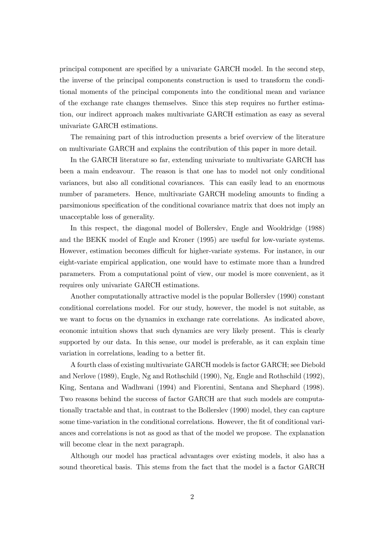principal component are specified by a univariate GARCH model. In the second step, the inverse of the principal components construction is used to transform the conditional moments of the principal components into the conditional mean and variance of the exchange rate changes themselves. Since this step requires no further estimation, our indirect approach makes multivariate GARCH estimation as easy as several univariate GARCH estimations.

The remaining part of this introduction presents a brief overview of the literature on multivariate GARCH and explains the contribution of this paper in more detail.

In the GARCH literature so far, extending univariate to multivariate GARCH has been a main endeavour. The reason is that one has to model not only conditional variances, but also all conditional covariances. This can easily lead to an enormous number of parameters. Hence, multivariate GARCH modeling amounts to finding a parsimonious speciÖcation of the conditional covariance matrix that does not imply an unacceptable loss of generality.

In this respect, the diagonal model of Bollerslev, Engle and Wooldridge (1988) and the BEKK model of Engle and Kroner (1995) are useful for low-variate systems. However, estimation becomes difficult for higher-variate systems. For instance, in our eight-variate empirical application, one would have to estimate more than a hundred parameters. From a computational point of view, our model is more convenient, as it requires only univariate GARCH estimations.

Another computationally attractive model is the popular Bollerslev (1990) constant conditional correlations model. For our study, however, the model is not suitable, as we want to focus on the dynamics in exchange rate correlations. As indicated above, economic intuition shows that such dynamics are very likely present. This is clearly supported by our data. In this sense, our model is preferable, as it can explain time variation in correlations, leading to a better fit.

A fourth class of existing multivariate GARCH models is factor GARCH; see Diebold and Nerlove (1989), Engle, Ng and Rothschild (1990), Ng, Engle and Rothschild (1992), King, Sentana and Wadhwani (1994) and Fiorentini, Sentana and Shephard (1998). Two reasons behind the success of factor GARCH are that such models are computationally tractable and that, in contrast to the Bollerslev (1990) model, they can capture some time-variation in the conditional correlations. However, the fit of conditional variances and correlations is not as good as that of the model we propose. The explanation will become clear in the next paragraph.

Although our model has practical advantages over existing models, it also has a sound theoretical basis. This stems from the fact that the model is a factor GARCH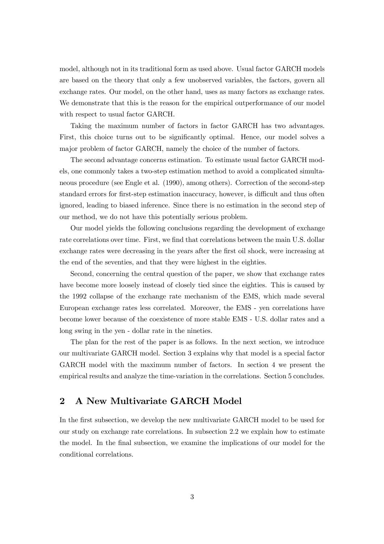model, although not in its traditional form as used above. Usual factor GARCH models are based on the theory that only a few unobserved variables, the factors, govern all exchange rates. Our model, on the other hand, uses as many factors as exchange rates. We demonstrate that this is the reason for the empirical outperformance of our model with respect to usual factor GARCH.

Taking the maximum number of factors in factor GARCH has two advantages. First, this choice turns out to be significantly optimal. Hence, our model solves a major problem of factor GARCH, namely the choice of the number of factors.

The second advantage concerns estimation. To estimate usual factor GARCH models, one commonly takes a two-step estimation method to avoid a complicated simultaneous procedure (see Engle et al. (1990), among others). Correction of the second-step standard errors for first-step estimation inaccuracy, however, is difficult and thus often ignored, leading to biased inference. Since there is no estimation in the second step of our method, we do not have this potentially serious problem.

Our model yields the following conclusions regarding the development of exchange rate correlations over time. First, we find that correlations between the main U.S. dollar exchange rates were decreasing in the years after the first oil shock, were increasing at the end of the seventies, and that they were highest in the eighties.

Second, concerning the central question of the paper, we show that exchange rates have become more loosely instead of closely tied since the eighties. This is caused by the 1992 collapse of the exchange rate mechanism of the EMS, which made several European exchange rates less correlated. Moreover, the EMS - yen correlations have become lower because of the coexistence of more stable EMS - U.S. dollar rates and a long swing in the yen - dollar rate in the nineties.

The plan for the rest of the paper is as follows. In the next section, we introduce our multivariate GARCH model. Section 3 explains why that model is a special factor GARCH model with the maximum number of factors. In section 4 we present the empirical results and analyze the time-variation in the correlations. Section 5 concludes.

# 2 A New Multivariate GARCH Model

In the first subsection, we develop the new multivariate GARCH model to be used for our study on exchange rate correlations. In subsection 2.2 we explain how to estimate the model. In the final subsection, we examine the implications of our model for the conditional correlations.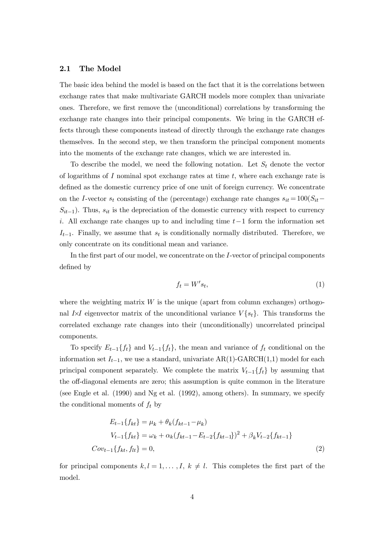#### 2.1 The Model

The basic idea behind the model is based on the fact that it is the correlations between exchange rates that make multivariate GARCH models more complex than univariate ones. Therefore, we Örst remove the (unconditional) correlations by transforming the exchange rate changes into their principal components. We bring in the GARCH effects through these components instead of directly through the exchange rate changes themselves. In the second step, we then transform the principal component moments into the moments of the exchange rate changes, which we are interested in.

To describe the model, we need the following notation. Let  $S_t$  denote the vector of logarithms of  $I$  nominal spot exchange rates at time  $t$ , where each exchange rate is defined as the domestic currency price of one unit of foreign currency. We concentrate on the I-vector  $s_t$  consisting of the (percentage) exchange rate changes  $s_{it} = 100(S_{it} S_{it-1}$ ). Thus,  $s_{it}$  is the depreciation of the domestic currency with respect to currency i. All exchange rate changes up to and including time  $t-1$  form the information set  $I_{t-1}$ . Finally, we assume that  $s_t$  is conditionally normally distributed. Therefore, we only concentrate on its conditional mean and variance.

In the first part of our model, we concentrate on the  $I$ -vector of principal components defined by

$$
f_t = W's_t,\tag{1}
$$

where the weighting matrix  $W$  is the unique (apart from column exchanges) orthogonal I $\times I$  eigenvector matrix of the unconditional variance  $V\{s_t\}$ . This transforms the correlated exchange rate changes into their (unconditionally) uncorrelated principal components.

To specify  $E_{t-1}\lbrace f_t \rbrace$  and  $V_{t-1}\lbrace f_t \rbrace$ , the mean and variance of  $f_t$  conditional on the information set  $I_{t-1}$ , we use a standard, univariate AR(1)-GARCH(1,1) model for each principal component separately. We complete the matrix  $V_{t-1}\lbrace f_t \rbrace$  by assuming that the off-diagonal elements are zero; this assumption is quite common in the literature (see Engle et al. (1990) and Ng et al. (1992), among others). In summary, we specify the conditional moments of  $f_t$  by

$$
E_{t-1}\{f_{kt}\} = \mu_k + \theta_k(f_{kt-1} - \mu_k)
$$
  
\n
$$
V_{t-1}\{f_{kt}\} = \omega_k + \alpha_k(f_{kt-1} - E_{t-2}\{f_{kt-1}\})^2 + \beta_k V_{t-2}\{f_{kt-1}\}
$$
  
\n
$$
Cov_{t-1}\{f_{kt}, f_{lt}\} = 0,
$$
\n(2)

for principal components  $k, l = 1, \ldots, I, k \neq l$ . This completes the first part of the model.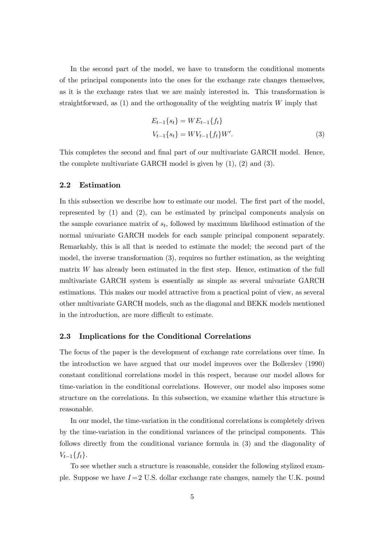In the second part of the model, we have to transform the conditional moments of the principal components into the ones for the exchange rate changes themselves, as it is the exchange rates that we are mainly interested in. This transformation is straightforward, as  $(1)$  and the orthogonality of the weighting matrix  $W$  imply that

$$
E_{t-1}\{s_t\} = WE_{t-1}\{f_t\}
$$
  

$$
V_{t-1}\{s_t\} = WV_{t-1}\{f_t\}W'.
$$
 (3)

This completes the second and final part of our multivariate GARCH model. Hence, the complete multivariate GARCH model is given by (1), (2) and (3).

### 2.2 Estimation

In this subsection we describe how to estimate our model. The first part of the model, represented by (1) and (2), can be estimated by principal components analysis on the sample covariance matrix of  $s_t$ , followed by maximum likelihood estimation of the normal univariate GARCH models for each sample principal component separately. Remarkably, this is all that is needed to estimate the model; the second part of the model, the inverse transformation (3), requires no further estimation, as the weighting matrix  $W$  has already been estimated in the first step. Hence, estimation of the full multivariate GARCH system is essentially as simple as several univariate GARCH estimations. This makes our model attractive from a practical point of view, as several other multivariate GARCH models, such as the diagonal and BEKK models mentioned in the introduction, are more difficult to estimate.

## 2.3 Implications for the Conditional Correlations

The focus of the paper is the development of exchange rate correlations over time. In the introduction we have argued that our model improves over the Bollerslev (1990) constant conditional correlations model in this respect, because our model allows for time-variation in the conditional correlations. However, our model also imposes some structure on the correlations. In this subsection, we examine whether this structure is reasonable.

In our model, the time-variation in the conditional correlations is completely driven by the time-variation in the conditional variances of the principal components. This follows directly from the conditional variance formula in (3) and the diagonality of  $V_{t-1}\{f_t\}.$ 

To see whether such a structure is reasonable, consider the following stylized example. Suppose we have  $I = 2$  U.S. dollar exchange rate changes, namely the U.K. pound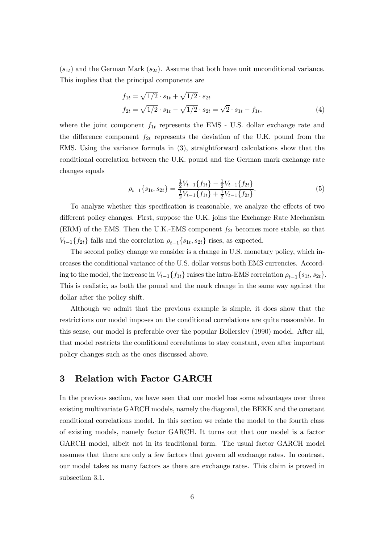$(s_{1t})$  and the German Mark  $(s_{2t})$ . Assume that both have unit unconditional variance. This implies that the principal components are

$$
f_{1t} = \sqrt{1/2} \cdot s_{1t} + \sqrt{1/2} \cdot s_{2t}
$$
  
\n
$$
f_{2t} = \sqrt{1/2} \cdot s_{1t} - \sqrt{1/2} \cdot s_{2t} = \sqrt{2} \cdot s_{1t} - f_{1t},
$$
\n(4)

where the joint component  $f_{1t}$  represents the EMS - U.S. dollar exchange rate and the difference component  $f_{2t}$  represents the deviation of the U.K. pound from the EMS. Using the variance formula in (3), straightforward calculations show that the conditional correlation between the U.K. pound and the German mark exchange rate changes equals

$$
\rho_{t-1}\{s_{1t}, s_{2t}\} = \frac{\frac{1}{2}V_{t-1}\{f_{1t}\} - \frac{1}{2}V_{t-1}\{f_{2t}\}}{\frac{1}{2}V_{t-1}\{f_{1t}\} + \frac{1}{2}V_{t-1}\{f_{2t}\}}.\tag{5}
$$

To analyze whether this specification is reasonable, we analyze the effects of two different policy changes. First, suppose the U.K. joins the Exchange Rate Mechanism (ERM) of the EMS. Then the U.K.-EMS component  $f_{2t}$  becomes more stable, so that  $V_{t-1}\lbrace f_{2t}\rbrace$  falls and the correlation  $\rho_{t-1}\lbrace s_{1t}, s_{2t}\rbrace$  rises, as expected.

The second policy change we consider is a change in U.S. monetary policy, which increases the conditional variance of the U.S. dollar versus both EMS currencies. According to the model, the increase in  $V_{t-1}\lbrace f_{1t} \rbrace$  raises the intra-EMS correlation  $\rho_{t-1}\lbrace s_{1t}, s_{2t} \rbrace$ . This is realistic, as both the pound and the mark change in the same way against the dollar after the policy shift.

Although we admit that the previous example is simple, it does show that the restrictions our model imposes on the conditional correlations are quite reasonable. In this sense, our model is preferable over the popular Bollerslev (1990) model. After all, that model restricts the conditional correlations to stay constant, even after important policy changes such as the ones discussed above.

# 3 Relation with Factor GARCH

In the previous section, we have seen that our model has some advantages over three existing multivariate GARCH models, namely the diagonal, the BEKK and the constant conditional correlations model. In this section we relate the model to the fourth class of existing models, namely factor GARCH. It turns out that our model is a factor GARCH model, albeit not in its traditional form. The usual factor GARCH model assumes that there are only a few factors that govern all exchange rates. In contrast, our model takes as many factors as there are exchange rates. This claim is proved in subsection 3.1.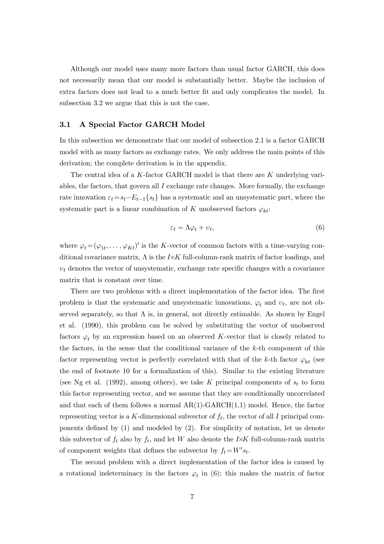Although our model uses many more factors than usual factor GARCH, this does not necessarily mean that our model is substantially better. Maybe the inclusion of extra factors does not lead to a much better fit and only complicates the model. In subsection 3.2 we argue that this is not the case.

## 3.1 A Special Factor GARCH Model

In this subsection we demonstrate that our model of subsection 2.1 is a factor GARCH model with as many factors as exchange rates. We only address the main points of this derivation; the complete derivation is in the appendix.

The central idea of a K-factor GARCH model is that there are K underlying variables, the factors, that govern all  $I$  exchange rate changes. More formally, the exchange rate innovation  $\varepsilon_t = s_t - E_{t-1}\{s_t\}$  has a systematic and an unsystematic part, where the systematic part is a linear combination of K unobserved factors  $\varphi_{kt}$ :

$$
\varepsilon_t = \Lambda \varphi_t + \upsilon_t,\tag{6}
$$

where  $\varphi_t = (\varphi_{1t}, \ldots, \varphi_{Kt})'$  is the K-vector of common factors with a time-varying conditional covariance matrix,  $\Lambda$  is the I $\times$ K full-column-rank matrix of factor loadings, and  $v_t$  denotes the vector of unsystematic, exchange rate specific changes with a covariance matrix that is constant over time.

There are two problems with a direct implementation of the factor idea. The first problem is that the systematic and unsystematic innovations,  $\varphi_t$  and  $v_t$ , are not observed separately, so that  $\Lambda$  is, in general, not directly estimable. As shown by Engel et al. (1990), this problem can be solved by substituting the vector of unobserved factors  $\varphi_t$  by an expression based on an observed K-vector that is closely related to the factors, in the sense that the conditional variance of the  $k$ -th component of this factor representing vector is perfectly correlated with that of the k-th factor  $\varphi_{kt}$  (see the end of footnote 10 for a formalization of this). Similar to the existing literature (see Ng et al. (1992), among others), we take K principal components of  $s_t$  to form this factor representing vector, and we assume that they are conditionally uncorrelated and that each of them follows a normal  $AR(1)-GARCH(1,1)$  model. Hence, the factor representing vector is a K-dimensional subvector of  $f_t$ , the vector of all I principal components defined by  $(1)$  and modeled by  $(2)$ . For simplicity of notation, let us denote this subvector of  $f_t$  also by  $f_t$ , and let W also denote the I $\times$ K full-column-rank matrix of component weights that defines the subvector by  $f_t = W's_t$ .

The second problem with a direct implementation of the factor idea is caused by a rotational indeterminacy in the factors  $\varphi_t$  in (6); this makes the matrix of factor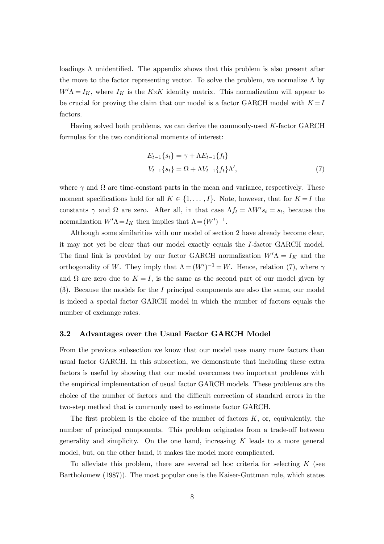loadings  $\Lambda$  unidentified. The appendix shows that this problem is also present after the move to the factor representing vector. To solve the problem, we normalize  $\Lambda$  by  $W' \Lambda = I_K$ , where  $I_K$  is the K $\times$ K identity matrix. This normalization will appear to be crucial for proving the claim that our model is a factor GARCH model with  $K = I$ factors.

Having solved both problems, we can derive the commonly-used K-factor GARCH formulas for the two conditional moments of interest:

$$
E_{t-1}\{s_t\} = \gamma + \Lambda E_{t-1}\{f_t\}
$$
  

$$
V_{t-1}\{s_t\} = \Omega + \Lambda V_{t-1}\{f_t\}\Lambda',
$$
 (7)

where  $\gamma$  and  $\Omega$  are time-constant parts in the mean and variance, respectively. These moment specifications hold for all  $K \in \{1,\ldots,I\}$ . Note, however, that for  $K = I$  the constants  $\gamma$  and  $\Omega$  are zero. After all, in that case  $\Lambda f_t = \Lambda W's_t = s_t$ , because the normalization  $W' \Lambda = I_K$  then implies that  $\Lambda = (W')^{-1}$ .

Although some similarities with our model of section 2 have already become clear, it may not yet be clear that our model exactly equals the I-factor GARCH model. The final link is provided by our factor GARCH normalization  $W'$  $\Lambda = I_K$  and the orthogonality of W. They imply that  $\Lambda = (W')^{-1} = W$ . Hence, relation (7), where  $\gamma$ and  $\Omega$  are zero due to  $K = I$ , is the same as the second part of our model given by (3). Because the models for the I principal components are also the same, our model is indeed a special factor GARCH model in which the number of factors equals the number of exchange rates.

#### 3.2 Advantages over the Usual Factor GARCH Model

From the previous subsection we know that our model uses many more factors than usual factor GARCH. In this subsection, we demonstrate that including these extra factors is useful by showing that our model overcomes two important problems with the empirical implementation of usual factor GARCH models. These problems are the choice of the number of factors and the difficult correction of standard errors in the two-step method that is commonly used to estimate factor GARCH.

The first problem is the choice of the number of factors  $K$ , or, equivalently, the number of principal components. This problem originates from a trade-off between generality and simplicity. On the one hand, increasing  $K$  leads to a more general model, but, on the other hand, it makes the model more complicated.

To alleviate this problem, there are several ad hoc criteria for selecting  $K$  (see Bartholomew (1987)). The most popular one is the Kaiser-Guttman rule, which states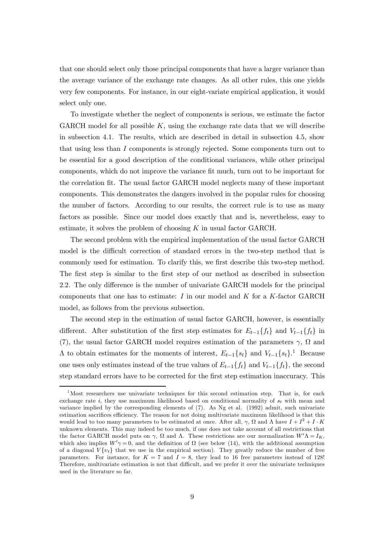that one should select only those principal components that have a larger variance than the average variance of the exchange rate changes. As all other rules, this one yields very few components. For instance, in our eight-variate empirical application, it would select only one.

To investigate whether the neglect of components is serious, we estimate the factor GARCH model for all possible  $K$ , using the exchange rate data that we will describe in subsection 4.1. The results, which are described in detail in subsection 4.5, show that using less than I components is strongly rejected. Some components turn out to be essential for a good description of the conditional variances, while other principal components, which do not improve the variance Öt much, turn out to be important for the correlation Öt. The usual factor GARCH model neglects many of these important components. This demonstrates the dangers involved in the popular rules for choosing the number of factors. According to our results, the correct rule is to use as many factors as possible. Since our model does exactly that and is, nevertheless, easy to estimate, it solves the problem of choosing  $K$  in usual factor GARCH.

The second problem with the empirical implementation of the usual factor GARCH model is the difficult correction of standard errors in the two-step method that is commonly used for estimation. To clarify this, we first describe this two-step method. The first step is similar to the first step of our method as described in subsection 2.2. The only difference is the number of univariate GARCH models for the principal components that one has to estimate:  $I$  in our model and  $K$  for a  $K$ -factor GARCH model, as follows from the previous subsection.

The second step in the estimation of usual factor GARCH, however, is essentially different. After substitution of the first step estimates for  $E_{t-1}\lbrace f_t \rbrace$  and  $V_{t-1}\lbrace f_t \rbrace$  in (7), the usual factor GARCH model requires estimation of the parameters  $\gamma$ ,  $\Omega$  and  $\Lambda$  to obtain estimates for the moments of interest,  $E_{t-1}\lbrace s_t \rbrace$  and  $V_{t-1}\lbrace s_t \rbrace$ .<sup>1</sup> Because one uses only estimates instead of the true values of  $E_{t-1}\lbrace f_t \rbrace$  and  $V_{t-1}\lbrace f_t \rbrace$ , the second step standard errors have to be corrected for the first step estimation inaccuracy. This

<sup>&</sup>lt;sup>1</sup>Most researchers use univariate techniques for this second estimation step. That is, for each exchange rate i, they use maximum likelihood based on conditional normality of  $s_t$  with mean and variance implied by the corresponding elements of (7). As Ng et al. (1992) admit, such univariate estimation sacrifices efficiency. The reason for not doing multivariate maximum likelihood is that this would lead to too many parameters to be estimated at once. After all,  $\gamma$ ,  $\Omega$  and  $\Lambda$  have  $I + I^2 + I \cdot K$ unknown elements. This may indeed be too much, if one does not take account of all restrictions that the factor GARCH model puts on  $\gamma$ ,  $\Omega$  and  $\Lambda$ . These restrictions are our normalization  $W'\Lambda = I_K$ , which also implies  $W'\gamma = 0$ , and the definition of  $\Omega$  (see below (14), with the additional assumption of a diagonal  $V \{v_t\}$  that we use in the empirical section). They greatly reduce the number of free parameters. For instance, for  $K = 7$  and  $I = 8$ , they lead to 16 free parameters instead of 128! Therefore, multivariate estimation is not that difficult, and we prefer it over the univariate techniques used in the literature so far.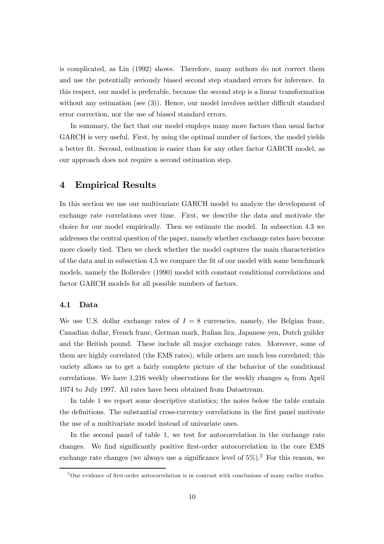is complicated, as Lin (1992) shows. Therefore, many authors do not correct them and use the potentially seriously biased second step standard errors for inference. In this respect, our model is preferable, because the second step is a linear transformation without any estimation (see  $(3)$ ). Hence, our model involves neither difficult standard error correction, nor the use of biased standard errors.

In summary, the fact that our model employs many more factors than usual factor GARCH is very useful. First, by using the optimal number of factors, the model yields a better Öt. Second, estimation is easier than for any other factor GARCH model, as our approach does not require a second estimation step.

## 4 Empirical Results

In this section we use our multivariate GARCH model to analyze the development of exchange rate correlations over time. First, we describe the data and motivate the choice for our model empirically. Then we estimate the model. In subsection 4.3 we addresses the central question of the paper, namely whether exchange rates have become more closely tied. Then we check whether the model captures the main characteristics of the data and in subsection 4.5 we compare the Öt of our model with some benchmark models, namely the Bollerslev (1990) model with constant conditional correlations and factor GARCH models for all possible numbers of factors.

## 4.1 Data

We use U.S. dollar exchange rates of  $I = 8$  currencies, namely, the Belgian franc, Canadian dollar, French franc, German mark, Italian lira, Japanese yen, Dutch guilder and the British pound. These include all major exchange rates. Moreover, some of them are highly correlated (the EMS rates), while others are much less correlated; this variety allows us to get a fairly complete picture of the behavior of the conditional correlations. We have 1,216 weekly observations for the weekly changes  $s_t$  from April 1974 to July 1997. All rates have been obtained from Datastream.

In table 1 we report some descriptive statistics; the notes below the table contain the definitions. The substantial cross-currency correlations in the first panel motivate the use of a multivariate model instead of univariate ones.

In the second panel of table 1, we test for autocorrelation in the exchange rate changes. We find significantly positive first-order autocorrelation in the core EMS exchange rate changes (we always use a significance level of  $5\%$ ).<sup>2</sup> For this reason, we

<sup>&</sup>lt;sup>2</sup>Our evidence of first-order autocorrelation is in contrast with conclusions of many earlier studies.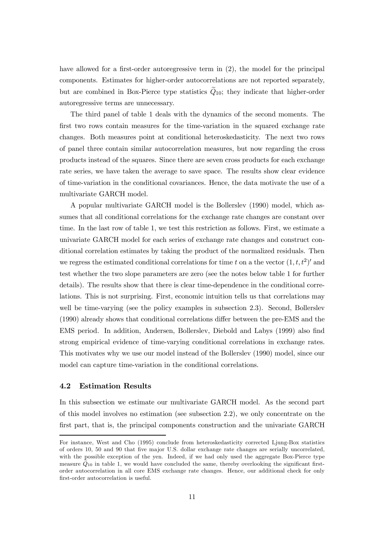have allowed for a first-order autoregressive term in  $(2)$ , the model for the principal components. Estimates for higher-order autocorrelations are not reported separately, but are combined in Box-Pierce type statistics  $Q_{10}$ ; they indicate that higher-order autoregressive terms are unnecessary.

The third panel of table 1 deals with the dynamics of the second moments. The first two rows contain measures for the time-variation in the squared exchange rate changes. Both measures point at conditional heteroskedasticity. The next two rows of panel three contain similar autocorrelation measures, but now regarding the cross products instead of the squares. Since there are seven cross products for each exchange rate series, we have taken the average to save space. The results show clear evidence of time-variation in the conditional covariances. Hence, the data motivate the use of a multivariate GARCH model.

A popular multivariate GARCH model is the Bollerslev (1990) model, which assumes that all conditional correlations for the exchange rate changes are constant over time. In the last row of table 1, we test this restriction as follows. First, we estimate a univariate GARCH model for each series of exchange rate changes and construct conditional correlation estimates by taking the product of the normalized residuals. Then we regress the estimated conditional correlations for time t on a the vector  $(1, t, t^2)$  and test whether the two slope parameters are zero (see the notes below table 1 for further details). The results show that there is clear time-dependence in the conditional correlations. This is not surprising. First, economic intuition tells us that correlations may well be time-varying (see the policy examples in subsection 2.3). Second, Bollerslev  $(1990)$  already shows that conditional correlations differ between the pre-EMS and the EMS period. In addition, Andersen, Bollerslev, Diebold and Labys (1999) also Önd strong empirical evidence of time-varying conditional correlations in exchange rates. This motivates why we use our model instead of the Bollerslev (1990) model, since our model can capture time-variation in the conditional correlations.

## 4.2 Estimation Results

In this subsection we estimate our multivariate GARCH model. As the second part of this model involves no estimation (see subsection 2.2), we only concentrate on the first part, that is, the principal components construction and the univariate GARCH

For instance, West and Cho (1995) conclude from heteroskedasticity corrected Ljung-Box statistics of orders 10, 50 and 90 that Öve major U.S. dollar exchange rate changes are serially uncorrelated, with the possible exception of the yen. Indeed, if we had only used the aggregate Box-Pierce type measure  $Q_{10}$  in table 1, we would have concluded the same, thereby overlooking the significant firstorder autocorrelation in all core EMS exchange rate changes. Hence, our additional check for only first-order autocorrelation is useful.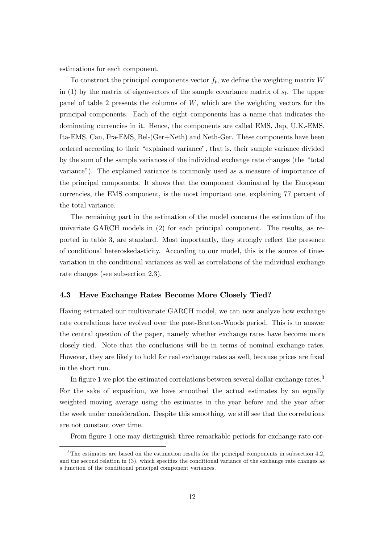estimations for each component.

To construct the principal components vector  $f_t$ , we define the weighting matrix W in (1) by the matrix of eigenvectors of the sample covariance matrix of  $s_t$ . The upper panel of table 2 presents the columns of  $W$ , which are the weighting vectors for the principal components. Each of the eight components has a name that indicates the dominating currencies in it. Hence, the components are called EMS, Jap, U.K.-EMS, Ita-EMS, Can, Fra-EMS, Bel-(Ger+Neth) and Neth-Ger. These components have been ordered according to their "explained variance", that is, their sample variance divided by the sum of the sample variances of the individual exchange rate changes (the "total varianceî). The explained variance is commonly used as a measure of importance of the principal components. It shows that the component dominated by the European currencies, the EMS component, is the most important one, explaining 77 percent of the total variance.

The remaining part in the estimation of the model concerns the estimation of the univariate GARCH models in (2) for each principal component. The results, as reported in table 3, are standard. Most importantly, they strongly reflect the presence of conditional heteroskedasticity. According to our model, this is the source of timevariation in the conditional variances as well as correlations of the individual exchange rate changes (see subsection 2.3).

## 4.3 Have Exchange Rates Become More Closely Tied?

Having estimated our multivariate GARCH model, we can now analyze how exchange rate correlations have evolved over the post-Bretton-Woods period. This is to answer the central question of the paper, namely whether exchange rates have become more closely tied. Note that the conclusions will be in terms of nominal exchange rates. However, they are likely to hold for real exchange rates as well, because prices are fixed in the short run.

In figure 1 we plot the estimated correlations between several dollar exchange rates.<sup>3</sup> For the sake of exposition, we have smoothed the actual estimates by an equally weighted moving average using the estimates in the year before and the year after the week under consideration. Despite this smoothing, we still see that the correlations are not constant over time.

From figure 1 one may distinguish three remarkable periods for exchange rate cor-

<sup>&</sup>lt;sup>3</sup>The estimates are based on the estimation results for the principal components in subsection 4.2, and the second relation in  $(3)$ , which specifies the conditional variance of the exchange rate changes as a function of the conditional principal component variances.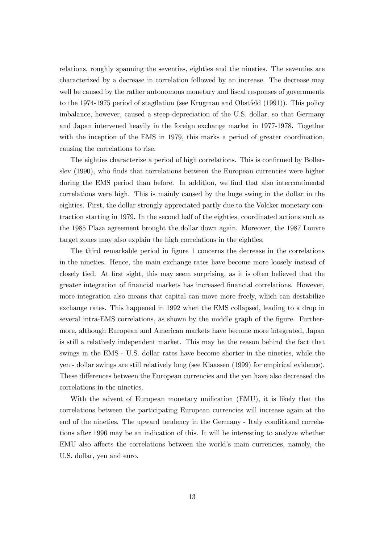relations, roughly spanning the seventies, eighties and the nineties. The seventies are characterized by a decrease in correlation followed by an increase. The decrease may well be caused by the rather autonomous monetary and fiscal responses of governments to the 1974-1975 period of stagflation (see Krugman and Obstfeld (1991)). This policy imbalance, however, caused a steep depreciation of the U.S. dollar, so that Germany and Japan intervened heavily in the foreign exchange market in 1977-1978. Together with the inception of the EMS in 1979, this marks a period of greater coordination, causing the correlations to rise.

The eighties characterize a period of high correlations. This is confirmed by Bollerslev (1990), who finds that correlations between the European currencies were higher during the EMS period than before. In addition, we find that also intercontinental correlations were high. This is mainly caused by the huge swing in the dollar in the eighties. First, the dollar strongly appreciated partly due to the Volcker monetary contraction starting in 1979. In the second half of the eighties, coordinated actions such as the 1985 Plaza agreement brought the dollar down again. Moreover, the 1987 Louvre target zones may also explain the high correlations in the eighties.

The third remarkable period in figure 1 concerns the decrease in the correlations in the nineties. Hence, the main exchange rates have become more loosely instead of closely tied. At first sight, this may seem surprising, as it is often believed that the greater integration of Önancial markets has increased Önancial correlations. However, more integration also means that capital can move more freely, which can destabilize exchange rates. This happened in 1992 when the EMS collapsed, leading to a drop in several intra-EMS correlations, as shown by the middle graph of the figure. Furthermore, although European and American markets have become more integrated, Japan is still a relatively independent market. This may be the reason behind the fact that swings in the EMS - U.S. dollar rates have become shorter in the nineties, while the yen - dollar swings are still relatively long (see Klaassen (1999) for empirical evidence). These differences between the European currencies and the yen have also decreased the correlations in the nineties.

With the advent of European monetary unification (EMU), it is likely that the correlations between the participating European currencies will increase again at the end of the nineties. The upward tendency in the Germany - Italy conditional correlations after 1996 may be an indication of this. It will be interesting to analyze whether EMU also affects the correlations between the world's main currencies, namely, the U.S. dollar, yen and euro.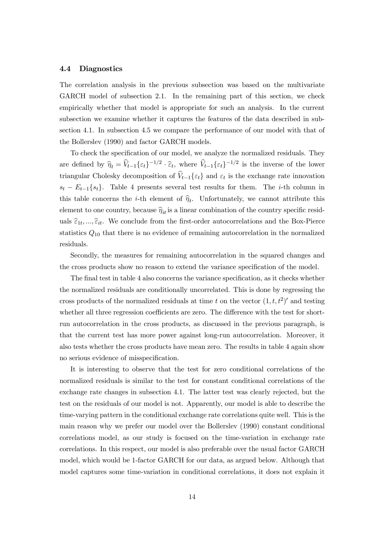#### 4.4 Diagnostics

The correlation analysis in the previous subsection was based on the multivariate GARCH model of subsection 2.1. In the remaining part of this section, we check empirically whether that model is appropriate for such an analysis. In the current subsection we examine whether it captures the features of the data described in subsection 4.1. In subsection 4.5 we compare the performance of our model with that of the Bollerslev (1990) and factor GARCH models.

To check the specification of our model, we analyze the normalized residuals. They are defined by  $\hat{\eta}_t = \hat{V}_{t-1}\{\varepsilon_t\}^{-1/2} \cdot \hat{\varepsilon}_t$ , where  $\hat{V}_{t-1}\{\varepsilon_t\}^{-1/2}$  is the inverse of the lower triangular Cholesky decomposition of  $\hat{V}_{t-1}\{\varepsilon_t\}$  and  $\varepsilon_t$  is the exchange rate innovation  $s_t - E_{t-1}\{s_t\}$ . Table 4 presents several test results for them. The *i*-th column in this table concerns the *i*-th element of  $\hat{\eta}_t$ . Unfortunately, we cannot attribute this element to one country, because  $\hat{\eta}_{it}$  is a linear combination of the country specific residuals  $\hat{\epsilon}_{1t}, \ldots, \hat{\epsilon}_{it}$ . We conclude from the first-order autocorrelations and the Box-Pierce statistics  $Q_{10}$  that there is no evidence of remaining autocorrelation in the normalized residuals.

Secondly, the measures for remaining autocorrelation in the squared changes and the cross products show no reason to extend the variance specification of the model.

The final test in table 4 also concerns the variance specification, as it checks whether the normalized residuals are conditionally uncorrelated. This is done by regressing the cross products of the normalized residuals at time t on the vector  $(1, t, t^2)$  and testing whether all three regression coefficients are zero. The difference with the test for shortrun autocorrelation in the cross products, as discussed in the previous paragraph, is that the current test has more power against long-run autocorrelation. Moreover, it also tests whether the cross products have mean zero. The results in table 4 again show no serious evidence of misspecification.

It is interesting to observe that the test for zero conditional correlations of the normalized residuals is similar to the test for constant conditional correlations of the exchange rate changes in subsection 4.1. The latter test was clearly rejected, but the test on the residuals of our model is not. Apparently, our model is able to describe the time-varying pattern in the conditional exchange rate correlations quite well. This is the main reason why we prefer our model over the Bollerslev (1990) constant conditional correlations model, as our study is focused on the time-variation in exchange rate correlations. In this respect, our model is also preferable over the usual factor GARCH model, which would be 1-factor GARCH for our data, as argued below. Although that model captures some time-variation in conditional correlations, it does not explain it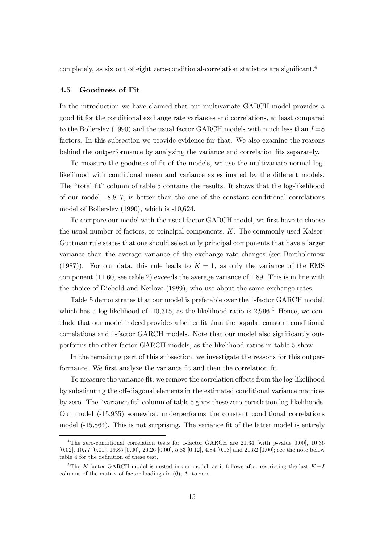completely, as six out of eight zero-conditional-correlation statistics are significant.<sup>4</sup>

#### 4.5 Goodness of Fit

In the introduction we have claimed that our multivariate GARCH model provides a good Öt for the conditional exchange rate variances and correlations, at least compared to the Bollerslev (1990) and the usual factor GARCH models with much less than  $I=8$ factors. In this subsection we provide evidence for that. We also examine the reasons behind the outperformance by analyzing the variance and correlation fits separately.

To measure the goodness of fit of the models, we use the multivariate normal loglikelihood with conditional mean and variance as estimated by the different models. The "total fit" column of table 5 contains the results. It shows that the log-likelihood of our model, -8,817, is better than the one of the constant conditional correlations model of Bollerslev (1990), which is -10,624.

To compare our model with the usual factor GARCH model, we first have to choose the usual number of factors, or principal components, K. The commonly used Kaiser-Guttman rule states that one should select only principal components that have a larger variance than the average variance of the exchange rate changes (see Bartholomew (1987)). For our data, this rule leads to  $K = 1$ , as only the variance of the EMS component (11.60, see table 2) exceeds the average variance of 1.89. This is in line with the choice of Diebold and Nerlove (1989), who use about the same exchange rates.

Table 5 demonstrates that our model is preferable over the 1-factor GARCH model, which has a log-likelihood of  $-10,315$ , as the likelihood ratio is  $2,996$ <sup>5</sup> Hence, we conclude that our model indeed provides a better Öt than the popular constant conditional correlations and 1-factor GARCH models. Note that our model also significantly outperforms the other factor GARCH models, as the likelihood ratios in table 5 show.

In the remaining part of this subsection, we investigate the reasons for this outperformance. We first analyze the variance fit and then the correlation fit.

To measure the variance fit, we remove the correlation effects from the log-likelihood by substituting the off-diagonal elements in the estimated conditional variance matrices by zero. The "variance fit" column of table 5 gives these zero-correlation log-likelihoods. Our model (-15,935) somewhat underperforms the constant conditional correlations model  $(-15,864)$ . This is not surprising. The variance fit of the latter model is entirely

<sup>&</sup>lt;sup>4</sup>The zero-conditional correlation tests for 1-factor GARCH are 21.34 [with p-value 0.00], 10.36 [0.02], 10.77 [0.01], 19.85 [0.00], 26.26 [0.00], 5.83 [0.12], 4.84 [0.18] and 21.52 [0.00]; see the note below table 4 for the definition of these test.

<sup>&</sup>lt;sup>5</sup>The K-factor GARCH model is nested in our model, as it follows after restricting the last  $K-I$ columns of the matrix of factor loadings in  $(6)$ ,  $\Lambda$ , to zero.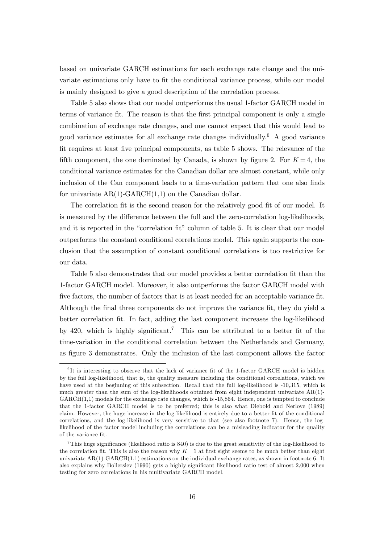based on univariate GARCH estimations for each exchange rate change and the univariate estimations only have to fit the conditional variance process, while our model is mainly designed to give a good description of the correlation process.

Table 5 also shows that our model outperforms the usual 1-factor GARCH model in terms of variance fit. The reason is that the first principal component is only a single combination of exchange rate changes, and one cannot expect that this would lead to good variance estimates for all exchange rate changes individually.<sup>6</sup> A good variance Öt requires at least Öve principal components, as table 5 shows. The relevance of the fifth component, the one dominated by Canada, is shown by figure 2. For  $K = 4$ , the conditional variance estimates for the Canadian dollar are almost constant, while only inclusion of the Can component leads to a time-variation pattern that one also finds for univariate  $AR(1)-GARCH(1,1)$  on the Canadian dollar.

The correlation fit is the second reason for the relatively good fit of our model. It is measured by the difference between the full and the zero-correlation log-likelihoods, and it is reported in the "correlation fit" column of table 5. It is clear that our model outperforms the constant conditional correlations model. This again supports the conclusion that the assumption of constant conditional correlations is too restrictive for our data.

Table 5 also demonstrates that our model provides a better correlation fit than the 1-factor GARCH model. Moreover, it also outperforms the factor GARCH model with five factors, the number of factors that is at least needed for an acceptable variance fit. Although the final three components do not improve the variance fit, they do yield a better correlation fit. In fact, adding the last component increases the log-likelihood by 420, which is highly significant.<sup>7</sup> This can be attributed to a better fit of the time-variation in the conditional correlation between the Netherlands and Germany, as Ögure 3 demonstrates. Only the inclusion of the last component allows the factor

 ${}^{6}$ It is interesting to observe that the lack of variance fit of the 1-factor GARCH model is hidden by the full log-likelihood, that is, the quality measure including the conditional correlations, which we have used at the beginning of this subsection. Recall that the full log-likelihood is -10,315, which is much greater than the sum of the log-likelihoods obtained from eight independent univariate AR(1)- GARCH(1,1) models for the exchange rate changes, which is -15,864. Hence, one is tempted to conclude that the 1-factor GARCH model is to be preferred; this is also what Diebold and Nerlove (1989) claim. However, the huge increase in the log-likelihood is entirely due to a better fit of the conditional correlations, and the log-likelihood is very sensitive to that (see also footnote 7). Hence, the loglikelihood of the factor model including the correlations can be a misleading indicator for the quality of the variance fit.

<sup>&</sup>lt;sup>7</sup>This huge significance (likelihood ratio is 840) is due to the great sensitivity of the log-likelihood to the correlation fit. This is also the reason why  $K = 1$  at first sight seems to be much better than eight univariate AR(1)-GARCH(1,1) estimations on the individual exchange rates, as shown in footnote 6. It also explains why Bollerslev (1990) gets a highly significant likelihood ratio test of almost 2,000 when testing for zero correlations in his multivariate GARCH model.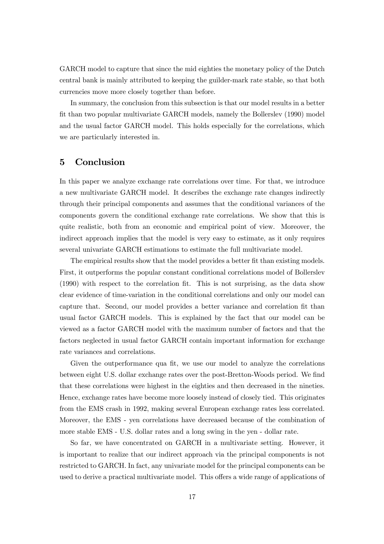GARCH model to capture that since the mid eighties the monetary policy of the Dutch central bank is mainly attributed to keeping the guilder-mark rate stable, so that both currencies move more closely together than before.

In summary, the conclusion from this subsection is that our model results in a better Öt than two popular multivariate GARCH models, namely the Bollerslev (1990) model and the usual factor GARCH model. This holds especially for the correlations, which we are particularly interested in.

## 5 Conclusion

In this paper we analyze exchange rate correlations over time. For that, we introduce a new multivariate GARCH model. It describes the exchange rate changes indirectly through their principal components and assumes that the conditional variances of the components govern the conditional exchange rate correlations. We show that this is quite realistic, both from an economic and empirical point of view. Moreover, the indirect approach implies that the model is very easy to estimate, as it only requires several univariate GARCH estimations to estimate the full multivariate model.

The empirical results show that the model provides a better fit than existing models. First, it outperforms the popular constant conditional correlations model of Bollerslev (1990) with respect to the correlation Öt. This is not surprising, as the data show clear evidence of time-variation in the conditional correlations and only our model can capture that. Second, our model provides a better variance and correlation fit than usual factor GARCH models. This is explained by the fact that our model can be viewed as a factor GARCH model with the maximum number of factors and that the factors neglected in usual factor GARCH contain important information for exchange rate variances and correlations.

Given the outperformance qua fit, we use our model to analyze the correlations between eight U.S. dollar exchange rates over the post-Bretton-Woods period. We find that these correlations were highest in the eighties and then decreased in the nineties. Hence, exchange rates have become more loosely instead of closely tied. This originates from the EMS crash in 1992, making several European exchange rates less correlated. Moreover, the EMS - yen correlations have decreased because of the combination of more stable EMS - U.S. dollar rates and a long swing in the yen - dollar rate.

So far, we have concentrated on GARCH in a multivariate setting. However, it is important to realize that our indirect approach via the principal components is not restricted to GARCH. In fact, any univariate model for the principal components can be used to derive a practical multivariate model. This offers a wide range of applications of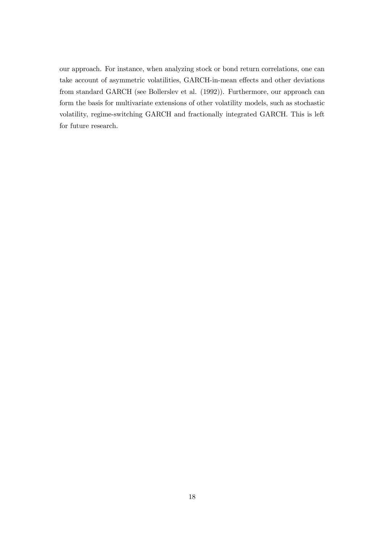our approach. For instance, when analyzing stock or bond return correlations, one can take account of asymmetric volatilities, GARCH-in-mean effects and other deviations from standard GARCH (see Bollerslev et al. (1992)). Furthermore, our approach can form the basis for multivariate extensions of other volatility models, such as stochastic volatility, regime-switching GARCH and fractionally integrated GARCH. This is left for future research.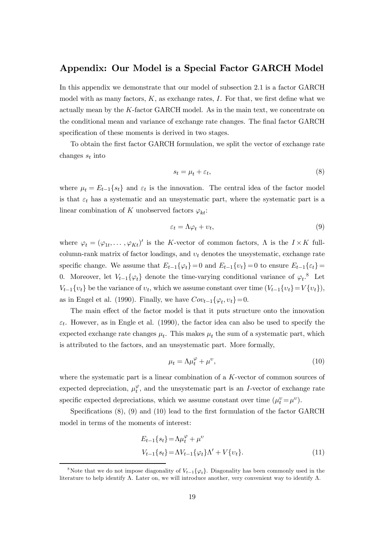## Appendix: Our Model is a Special Factor GARCH Model

In this appendix we demonstrate that our model of subsection 2.1 is a factor GARCH model with as many factors,  $K$ , as exchange rates,  $I$ . For that, we first define what we actually mean by the K-factor GARCH model. As in the main text, we concentrate on the conditional mean and variance of exchange rate changes. The final factor GARCH specification of these moments is derived in two stages.

To obtain the Örst factor GARCH formulation, we split the vector of exchange rate changes  $s_t$  into

$$
s_t = \mu_t + \varepsilon_t,\tag{8}
$$

where  $\mu_t = E_{t-1}\{s_t\}$  and  $\varepsilon_t$  is the innovation. The central idea of the factor model is that  $\varepsilon_t$  has a systematic and an unsystematic part, where the systematic part is a linear combination of K unobserved factors  $\varphi_{kt}$ :

$$
\varepsilon_t = \Lambda \varphi_t + \upsilon_t,\tag{9}
$$

where  $\varphi_t = (\varphi_{1t},\ldots,\varphi_{Kt})'$  is the K-vector of common factors,  $\Lambda$  is the  $I \times K$  fullcolumn-rank matrix of factor loadings, and  $v_t$  denotes the unsystematic, exchange rate specific change. We assume that  $E_{t-1}\{\varphi_t\}= 0$  and  $E_{t-1}\{v_t\}= 0$  to ensure  $E_{t-1}\{\varepsilon_t\}= 0$ 0. Moreover, let  $V_{t-1}\{\varphi_t\}$  denote the time-varying conditional variance of  $\varphi_t$ .<sup>8</sup> Let  $V_{t-1}\{v_t\}$  be the variance of  $v_t$ , which we assume constant over time  $(V_{t-1}\{v_t\}=V\{v_t\}),$ as in Engel et al. (1990). Finally, we have  $Cov_{t-1}\{\varphi_t, v_t\}= 0$ .

The main effect of the factor model is that it puts structure onto the innovation  $\varepsilon_t$ . However, as in Engle et al. (1990), the factor idea can also be used to specify the expected exchange rate changes  $\mu_t$ . This makes  $\mu_t$  the sum of a systematic part, which is attributed to the factors, and an unsystematic part. More formally,

$$
\mu_t = \Lambda \mu_t^{\varphi} + \mu^{\upsilon},\tag{10}
$$

where the systematic part is a linear combination of a K-vector of common sources of expected depreciation,  $\mu_t^{\varphi}$ , and the unsystematic part is an *I*-vector of exchange rate specific expected depreciations, which we assume constant over time  $(\mu_t^v = \mu^v)$ .

Specifications  $(8)$ ,  $(9)$  and  $(10)$  lead to the first formulation of the factor GARCH model in terms of the moments of interest:

$$
E_{t-1}\{s_t\} = \Lambda \mu_t^{\varphi} + \mu^{\upsilon}
$$
  
\n
$$
V_{t-1}\{s_t\} = \Lambda V_{t-1}\{\varphi_t\}\Lambda' + V\{\upsilon_t\}.
$$
\n(11)

<sup>&</sup>lt;sup>8</sup>Note that we do not impose diagonality of  $V_{t-1}\{\varphi_t\}$ . Diagonality has been commonly used in the literature to help identify  $\Lambda$ . Later on, we will introduce another, very convenient way to identify  $\Lambda$ .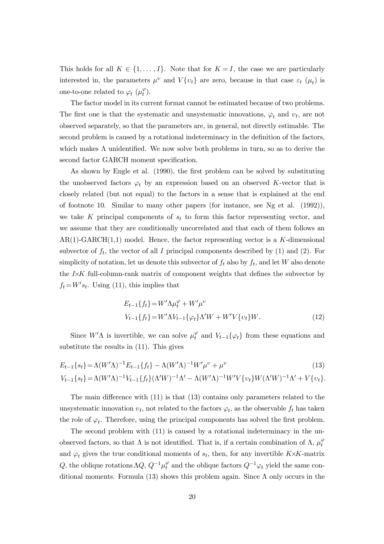This holds for all  $K \in \{1,\ldots,I\}$ . Note that for  $K = I$ , the case we are particularly interested in, the parameters  $\mu^v$  and  $V\{v_t\}$  are zero, because in that case  $\varepsilon_t$  ( $\mu_t$ ) is one-to-one related to  $\varphi_t$   $(\mu_t^{\varphi})$ .

The factor model in its current format cannot be estimated because of two problems. The first one is that the systematic and unsystematic innovations,  $\varphi_t$  and  $v_t$ , are not observed separately, so that the parameters are, in general, not directly estimable. The second problem is caused by a rotational indeterminacy in the definition of the factors, which makes  $\Lambda$  unidentified. We now solve both problems in turn, so as to derive the second factor GARCH moment specification.

As shown by Engle et al. (1990), the first problem can be solved by substituting the unobserved factors  $\varphi_t$  by an expression based on an observed K-vector that is closely related (but not equal) to the factors in a sense that is explained at the end of footnote 10. Similar to many other papers (for instance, see Ng et al. (1992)), we take  $K$  principal components of  $s_t$  to form this factor representing vector, and we assume that they are conditionally uncorrelated and that each of them follows an  $AR(1)-GARCH(1,1)$  model. Hence, the factor representing vector is a K-dimensional subvector of  $f_t$ , the vector of all I principal components described by (1) and (2). For simplicity of notation, let us denote this subvector of  $f_t$  also by  $f_t$ , and let W also denote the  $I\times K$  full-column-rank matrix of component weights that defines the subvector by  $f_t = W's_t$ . Using (11), this implies that

$$
E_{t-1}\{f_t\} = W'\Lambda\mu_t^{\varphi} + W'\mu^{\nu}
$$
  

$$
V_{t-1}\{f_t\} = W'\Lambda V_{t-1}\{\varphi_t\}\Lambda'W + W'V\{v_t\}W.
$$
 (12)

Since  $W'$ A is invertible, we can solve  $\mu_t^{\varphi}$  and  $V_{t-1}\{\varphi_t\}$  from these equations and substitute the results in (11). This gives

$$
E_{t-1}\{s_t\} = \Lambda(W'\Lambda)^{-1}E_{t-1}\{f_t\} - \Lambda(W'\Lambda)^{-1}W'\mu^{\nu} + \mu^{\nu}
$$
\n(13)  
\n
$$
V_{t-1}\{s_t\} = \Lambda(W'\Lambda)^{-1}V_{t-1}\{f_t\}(\Lambda'W)^{-1}\Lambda' - \Lambda(W'\Lambda)^{-1}W'V\{\nu_t\}W(\Lambda'W)^{-1}\Lambda' + V\{\nu_t\}.
$$

The main difference with  $(11)$  is that  $(13)$  contains only parameters related to the unsystematic innovation  $v_t$ , not related to the factors  $\varphi_t$ , as the observable  $f_t$  has taken the role of  $\varphi_t$ . Therefore, using the principal components has solved the first problem.

The second problem with (11) is caused by a rotational indeterminacy in the unobserved factors, so that  $\Lambda$  is not identified. That is, if a certain combination of  $\Lambda$ ,  $\mu_t^{\varphi}$ and  $\varphi_t$  gives the true conditional moments of  $s_t$ , then, for any invertible K $\times$ K-matrix Q, the oblique rotations  $\Lambda Q$ ,  $Q^{-1}\mu_t^{\varphi}$  and the oblique factors  $Q^{-1}\varphi_t$  yield the same conditional moments. Formula (13) shows this problem again. Since  $\Lambda$  only occurs in the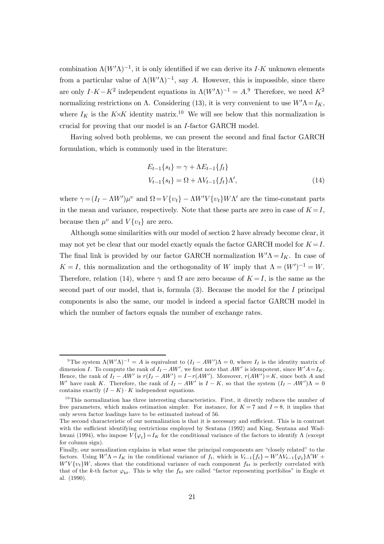combination  $\Lambda (W^{\prime }\Lambda )^{-1}$ , it is only identified if we can derive its I $\cdot K$  unknown elements from a particular value of  $\Lambda (W^{\prime }\Lambda )^{-1}$ , say A. However, this is impossible, since there are only  $I \cdot K - K^2$  independent equations in  $\Lambda (W' \Lambda)^{-1} = A$ .<sup>9</sup> Therefore, we need  $K^2$ normalizing restrictions on  $\Lambda$ . Considering (13), it is very convenient to use  $W' \Lambda = I_K$ , where  $I_K$  is the K $\times$ K identity matrix.<sup>10</sup> We will see below that this normalization is crucial for proving that our model is an I-factor GARCH model.

Having solved both problems, we can present the second and final factor GARCH formulation, which is commonly used in the literature:

$$
E_{t-1}\{s_t\} = \gamma + \Lambda E_{t-1}\{f_t\}
$$
  

$$
V_{t-1}\{s_t\} = \Omega + \Lambda V_{t-1}\{f_t\}\Lambda',
$$
 (14)

where  $\gamma = (I_I - \Lambda W')\mu^{\nu}$  and  $\Omega = V\{v_t\} - \Lambda W'V\{v_t\}W\Lambda'$  are the time-constant parts in the mean and variance, respectively. Note that these parts are zero in case of  $K = I$ , because then  $\mu^v$  and  $V\{v_t\}$  are zero.

Although some similarities with our model of section 2 have already become clear, it may not yet be clear that our model exactly equals the factor GARCH model for  $K = I$ . The final link is provided by our factor GARCH normalization  $W' \Lambda = I_K$ . In case of  $K = I$ , this normalization and the orthogonality of W imply that  $\Lambda = (W')^{-1} = W$ . Therefore, relation (14), where  $\gamma$  and  $\Omega$  are zero because of  $K = I$ , is the same as the second part of our model, that is, formula  $(3)$ . Because the model for the I principal components is also the same, our model is indeed a special factor GARCH model in which the number of factors equals the number of exchange rates.

<sup>&</sup>lt;sup>9</sup>The system  $\Lambda (W' \Lambda)^{-1} = A$  is equivalent to  $(I_I - AW')\Lambda = 0$ , where  $I_I$  is the identity matrix of dimension I. To compute the rank of  $I_I - AW'$ , we first note that  $AW'$  is idempotent, since  $W'A = I_K$ . Hence, the rank of  $I_I - AW'$  is  $r(I_I - AW') = I - r(AW')$ . Moreover,  $r(AW') = K$ , since both A and W' have rank K. Therefore, the rank of  $I_I - AW'$  is  $I - K$ , so that the system  $(I_I - AW')\Lambda = 0$ contains exactly  $(I - K) \cdot K$  independent equations.

 $10$ This normalization has three interesting characteristics. First, it directly reduces the number of free parameters, which makes estimation simpler. For instance, for  $K = 7$  and  $I = 8$ , it implies that only seven factor loadings have to be estimated instead of 56.

The second characteristic of our normalization is that it is necessary and sufficient. This is in contrast with the sufficient identifying restrictions employed by Sentana (1992) and King, Sentana and Wadhwani (1994), who impose  $V\{\varphi_t\}=I_K$  for the conditional variance of the factors to identify  $\Lambda$  (except for column sign).

Finally, our normalization explains in what sense the principal components are "closely related" to the factors. Using  $W'\Lambda = I_K$  in the conditional variance of  $f_t$ , which is  $V_{t-1}\lbrace f_t \rbrace = W'\Lambda V_{t-1}\lbrace \varphi_t \rbrace \Lambda' W +$  $W'V\{v_t\}W$ , shows that the conditional variance of each component  $f_{kt}$  is perfectly correlated with that of the k-th factor  $\varphi_{kt}$ . This is why the  $f_{kt}$  are called "factor representing portfolios" in Engle et al. (1990).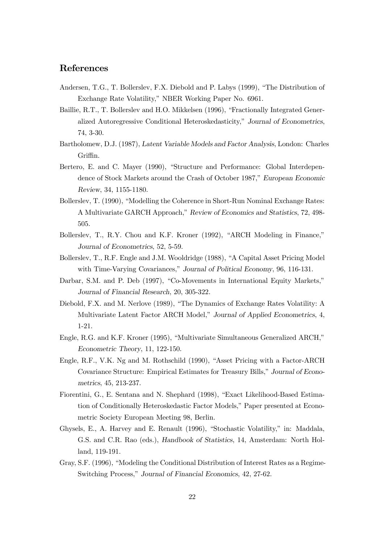# References

- Andersen, T.G., T. Bollerslev, F.X. Diebold and P. Labys (1999), "The Distribution of Exchange Rate Volatility," NBER Working Paper No. 6961.
- Baillie, R.T., T. Bollerslev and H.O. Mikkelsen (1996), "Fractionally Integrated Generalized Autoregressive Conditional Heteroskedasticity," Journal of Econometrics, 74, 3-30.
- Bartholomew, D.J. (1987), Latent Variable Models and Factor Analysis, London: Charles Griffin.
- Bertero, E. and C. Mayer (1990), "Structure and Performance: Global Interdependence of Stock Markets around the Crash of October 1987," European Economic Review, 34, 1155-1180.
- Bollerslev, T. (1990), "Modelling the Coherence in Short-Run Nominal Exchange Rates: A Multivariate GARCH Approach," Review of Economics and Statistics, 72, 498-505.
- Bollerslev, T., R.Y. Chou and K.F. Kroner (1992), "ARCH Modeling in Finance," Journal of Econometrics, 52, 5-59.
- Bollerslev, T., R.F. Engle and J.M. Wooldridge (1988), "A Capital Asset Pricing Model with Time-Varying Covariances," Journal of Political Economy, 96, 116-131.
- Darbar, S.M. and P. Deb (1997), "Co-Movements in International Equity Markets," Journal of Financial Research, 20, 305-322.
- Diebold, F.X. and M. Nerlove (1989), "The Dynamics of Exchange Rates Volatility: A Multivariate Latent Factor ARCH Model," Journal of Applied Econometrics, 4, 1-21.
- Engle, R.G. and K.F. Kroner (1995), "Multivariate Simultaneous Generalized ARCH," Econometric Theory, 11, 122-150.
- Engle, R.F., V.K. Ng and M. Rothschild (1990), "Asset Pricing with a Factor-ARCH Covariance Structure: Empirical Estimates for Treasury Bills," Journal of Econometrics, 45, 213-237.
- Fiorentini, G., E. Sentana and N. Shephard (1998), "Exact Likelihood-Based Estimation of Conditionally Heteroskedastic Factor Models," Paper presented at Econometric Society European Meeting 98, Berlin.
- Ghysels, E., A. Harvey and E. Renault (1996), "Stochastic Volatility," in: Maddala, G.S. and C.R. Rao (eds.), Handbook of Statistics, 14, Amsterdam: North Holland, 119-191.
- Gray, S.F. (1996), "Modeling the Conditional Distribution of Interest Rates as a Regime-Switching Process," Journal of Financial Economics, 42, 27-62.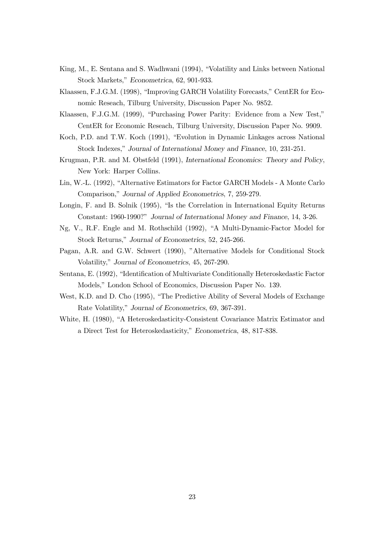- King, M., E. Sentana and S. Wadhwani (1994), "Volatility and Links between National Stock Markets," Econometrica, 62, 901-933.
- Klaassen, F.J.G.M. (1998), "Improving GARCH Volatility Forecasts," CentER for Economic Reseach, Tilburg University, Discussion Paper No. 9852.
- Klaassen, F.J.G.M. (1999), "Purchasing Power Parity: Evidence from a New Test," CentER for Economic Reseach, Tilburg University, Discussion Paper No. 9909.
- Koch, P.D. and T.W. Koch (1991), "Evolution in Dynamic Linkages across National Stock Indexes," Journal of International Money and Finance, 10, 231-251.
- Krugman, P.R. and M. Obstfeld (1991), International Economics: Theory and Policy, New York: Harper Collins.
- Lin, W.-L. (1992), "Alternative Estimators for Factor GARCH Models A Monte Carlo Comparison," Journal of Applied Econometrics, 7, 259-279.
- Longin, F. and B. Solnik (1995), "Is the Correlation in International Equity Returns Constant: 1960-1990?" Journal of International Money and Finance, 14, 3-26.
- Ng, V., R.F. Engle and M. Rothschild (1992), "A Multi-Dynamic-Factor Model for Stock Returns," Journal of Econometrics, 52, 245-266.
- Pagan, A.R. and G.W. Schwert (1990), "Alternative Models for Conditional Stock Volatility," Journal of Econometrics, 45, 267-290.
- Sentana, E. (1992), "Identification of Multivariate Conditionally Heteroskedastic Factor Models," London School of Economics, Discussion Paper No. 139.
- West, K.D. and D. Cho (1995), "The Predictive Ability of Several Models of Exchange Rate Volatility," Journal of Econometrics, 69, 367-391.
- White, H. (1980), "A Heteroskedasticity-Consistent Covariance Matrix Estimator and a Direct Test for Heteroskedasticity," Econometrica, 48, 817-838.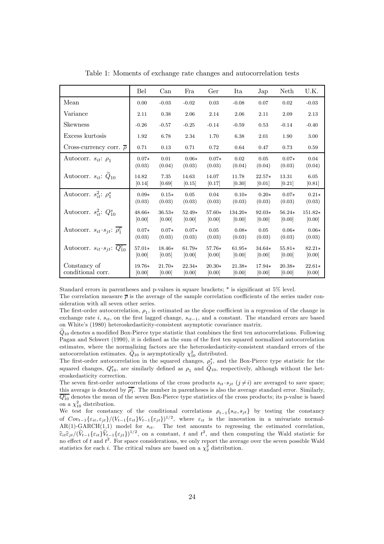|                                                         | Bel      | Can      | Fra      | Ger      | Ita      | Jap      | Neth     | U.K.     |
|---------------------------------------------------------|----------|----------|----------|----------|----------|----------|----------|----------|
| Mean                                                    | 0.00     | $-0.03$  | $-0.02$  | 0.03     | $-0.08$  | 0.07     | 0.02     | $-0.03$  |
| Variance                                                | 2.11     | 0.38     | 2.06     | 2.14     | 2.06     | 2.11     | 2.09     | 2.13     |
| Skewness                                                | $-0.26$  | $-0.57$  | $-0.25$  | $-0.14$  | $-0.59$  | 0.53     | $-0.14$  | $-0.40$  |
| Excess kurtosis                                         | 1.92     | 6.78     | 2.34     | 1.70     | 6.38     | 2.01     | 1.90     | 3.00     |
| Cross-currency corr. $\bar{\rho}$                       | 0.71     | 0.13     | 0.71     | 0.72     | 0.64     | 0.47     | 0.73     | 0.59     |
| Autocorr. $s_{it}$ : $\rho_1$                           | $0.07*$  | 0.01     | $0.06*$  | $0.07*$  | 0.02     | 0.05     | $0.07*$  | 0.04     |
|                                                         | (0.03)   | (0.04)   | (0.03)   | (0.03)   | (0.04)   | (0.04)   | (0.03)   | (0.04)   |
| Autocorr. $s_{it}$ : $\ddot{Q}_{10}$                    | 14.82    | 7.35     | 14.63    | 14.07    | 11.78    | $22.57*$ | 13.31    | 6.05     |
|                                                         | [0.14]   | [0.69]   | [0.15]   | [0.17]   | [0.30]   | [0.01]   | [0.21]   | [0.81]   |
| Autocorr. $s_{it}^2$ : $\rho_1^s$                       | $0.09*$  | $0.15*$  | 0.05     | 0.04     | $0.10*$  | $0.20*$  | $0.07*$  | $0.21*$  |
|                                                         | (0.03)   | (0.03)   | (0.03)   | (0.03)   | (0.03)   | (0.03)   | (0.03)   | (0.03)   |
| Autocorr. $s_{it}^2$ : $Q_{10}^s$                       | $48.66*$ | $36.53*$ | $52.49*$ | 57.60*   | 134.20*  | 92.03*   | 56.24*   | 151.82*  |
|                                                         | [0.00]   | [0.00]   | [0.00]   | [0.00]   | [0.00]   | [0.00]   | [0.00]   | [0.00]   |
| Autocorr. $s_{it} \cdot s_{it}$ : $\rho_1^c$            | $0.07*$  | $0.07*$  | $0.07*$  | 0.05     | $0.08*$  | 0.05     | $0.06*$  | $0.06*$  |
|                                                         | (0.03)   | (0.03)   | (0.03)   | (0.03)   | (0.03)   | (0.03)   | (0.03)   | (0.03)   |
| Autocorr. $s_{it} \cdot s_{it}$ : $\overline{Q_{10}^c}$ | 57.01*   | 18.46*   | $61.79*$ | $57.76*$ | $61.95*$ | $34.64*$ | $55.81*$ | $82.21*$ |
|                                                         | [0.00]   | [0.05]   | [0.00]   | [0.00]   | [0.00]   | [0.00]   | [0.00]   | [0.00]   |
| Constancy of                                            | 19.76*   | $21.70*$ | $22.34*$ | $20.30*$ | 21.38*   | 17.94*   | 20.38*   | $22.61*$ |
| conditional corr.                                       | [0.00]   | [0.00]   | [0.00]   | [0.00]   | [0.00]   | [0.00]   | [0.00]   | [0.00]   |

Table 1: Moments of exchange rate changes and autocorrelation tests

Standard errors in parentheses and p-values in square brackets;  $*$  is significant at  $5\%$  level.

The correlation measure  $\bar{\rho}$  is the average of the sample correlation coefficients of the series under consideration with all seven other series.

The first-order autocorrelation,  $\rho_1$ , is estimated as the slope coefficient in a regression of the change in exchange rate i,  $s_{it}$ , on the first lagged change,  $s_{it-1}$ , and a constant. The standard errors are based on White's (1980) heteroskedasticity-consistent asymptotic covariance matrix.

 $\tilde{Q}_{10}$  denotes a modified Box-Pierce type statistic that combines the first ten autocorrelations. Following Pagan and Schwert (1990), it is defined as the sum of the first ten squared normalized autocorrelation estimates, where the normalizing factors are the heteroskedasticity-consistent standard errors of the autocorrelation estimates.  $\tilde{Q}_{10}$  is asymptotically  $\chi_{10}^2$  distributed.

The first-order autocorrelation in the squared changes,  $\rho_1^s$ , and the Box-Pierce type statistic for the squared changes,  $Q_{10}^s$ , are similarly defined as  $\rho_1$  and  $\widetilde{Q}_{10}$ , respectively, although without the heteroskedasticity correction.

The seven first-order autocorrelations of the cross products  $s_{it} \cdot s_{jt}$  ( $j \neq i$ ) are averaged to save space; this average is denoted by  $\overline{\rho_i^c}$ . The number in parentheses is also the average standard error. Similarly,  $\overline{Q_{10}^c}$  denotes the mean of the seven Box-Pierce type statistics of the cross products; its p-value is based on a  $\chi_{10}^2$  distribution.

We test for constancy of the conditional correlations  $\rho_{t-1}\{s_{it}, s_{jt}\}\;$  by testing the constancy of  $Cov_{t-1}\{\varepsilon_{it},\varepsilon_{jt}\}/(V_{t-1}\{\varepsilon_{it}\}V_{t-1}\{\varepsilon_{jt}\})^{1/2}$ , where  $\varepsilon_{it}$  is the innovation in a univariate normal- $AR(1)-GARCH(1,1)$  model for  $s_{it}$ . The test amounts to regressing the estimated correlation,  $\widehat{\epsilon}_{it}\widehat{\epsilon}_{jt}/(\widehat{V}_{t-1}\{\varepsilon_{it}\})\widehat{V}_{t-1}\{\varepsilon_{jt}\})^{1/2}$ , on a constant, t and  $t^2$ , and then computing the Wald statistic for no effect of  $t$  and  $t^2$ . For space considerations, we only report the average over the seven possible Wald statistics for each *i*. The critical values are based on a  $\chi^2$  distribution.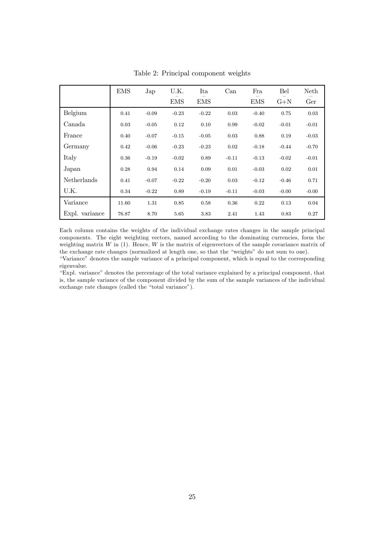|                | <b>EMS</b> | Jap     | U.K.       | Ita        | Can     | Fra        | Bel     | <b>Neth</b> |
|----------------|------------|---------|------------|------------|---------|------------|---------|-------------|
|                |            |         | <b>EMS</b> | <b>EMS</b> |         | <b>EMS</b> | $G + N$ | Ger         |
| Belgium        | 0.41       | $-0.09$ | $-0.23$    | $-0.22$    | 0.03    | $-0.40$    | 0.75    | 0.03        |
| Canada         | 0.03       | $-0.05$ | 0.12       | 0.10       | 0.99    | $-0.02$    | $-0.01$ | $-0.01$     |
| France         | 0.40       | $-0.07$ | $-0.15$    | $-0.05$    | 0.03    | 0.88       | 0.19    | $-0.03$     |
| Germany        | 0.42       | $-0.06$ | $-0.23$    | $-0.23$    | 0.02    | $-0.18$    | $-0.44$ | $-0.70$     |
| Italy          | 0.36       | $-0.19$ | $-0.02$    | 0.89       | $-0.11$ | $-0.13$    | $-0.02$ | $-0.01$     |
| Japan          | 0.28       | 0.94    | 0.14       | 0.09       | 0.01    | $-0.03$    | 0.02    | 0.01        |
| Netherlands    | 0.41       | $-0.07$ | $-0.22$    | $-0.20$    | 0.03    | $-0.12$    | $-0.46$ | 0.71        |
| U.K.           | 0.34       | $-0.22$ | 0.89       | $-0.19$    | $-0.11$ | $-0.03$    | $-0.00$ | $-0.00$     |
| Variance       | 11.60      | 1.31    | 0.85       | 0.58       | 0.36    | 0.22       | 0.13    | 0.04        |
| Expl. variance | 76.87      | 8.70    | 5.65       | 3.83       | 2.41    | 1.43       | 0.83    | 0.27        |

Table 2: Principal component weights

Each column contains the weights of the individual exchange rates changes in the sample principal components. The eight weighting vectors, named according to the dominating currencies, form the weighting matrix  $W$  in (1). Hence,  $W$  is the matrix of eigenvectors of the sample covariance matrix of the exchange rate changes (normalized at length one, so that the "weights" do not sum to one).

ìVarianceî denotes the sample variance of a principal component, which is equal to the corresponding eigenvalue.

ìExpl. varianceî denotes the percentage of the total variance explained by a principal component, that is, the sample variance of the component divided by the sum of the sample variances of the individual exchange rate changes (called the "total variance").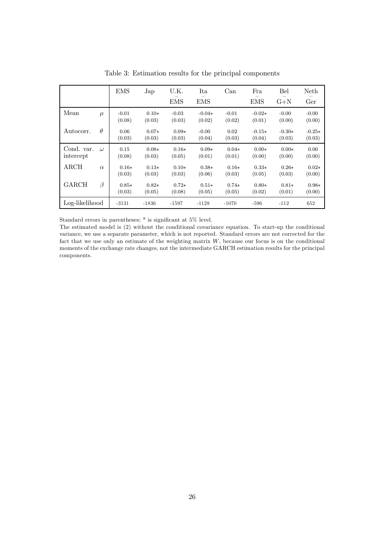|                         |          | <b>EMS</b>        | Jap               | U.K.              | Ita                | Can               | Fra                | Bel                | Neth               |
|-------------------------|----------|-------------------|-------------------|-------------------|--------------------|-------------------|--------------------|--------------------|--------------------|
|                         |          |                   |                   | <b>EMS</b>        | <b>EMS</b>         |                   | <b>EMS</b>         | $G+N$              | Ger                |
| Mean                    | $\mu$    | $-0.01$<br>(0.08) | $0.10*$<br>(0.03) | $-0.03$<br>(0.03) | $-0.04*$<br>(0.02) | $-0.01$<br>(0.02) | $-0.02*$<br>(0.01) | $-0.00$<br>(0.00)  | $-0.00$<br>(0.00)  |
| Autocorr.               | $\theta$ | 0.06<br>(0.03)    | $0.07*$<br>(0.03) | $0.09*$<br>(0.03) | $-0.00$<br>(0.04)  | 0.02<br>(0.03)    | $-0.15*$<br>(0.04) | $-0.30*$<br>(0.03) | $-0.25*$<br>(0.03) |
| Cond. var.<br>intercept | $\omega$ | 0.15<br>(0.08)    | $0.08*$<br>(0.03) | $0.16*$<br>(0.05) | $0.09*$<br>(0.01)  | $0.04*$<br>(0.01) | $0.00*$<br>(0.00)  | $0.00*$<br>(0.00)  | 0.00<br>(0.00)     |
| $\rm{ARCH}$             | $\alpha$ | $0.16*$<br>(0.03) | $0.13*$<br>(0.03) | $0.10*$<br>(0.03) | $0.38*$<br>(0.06)  | $0.16*$<br>(0.03) | $0.33*$<br>(0.05)  | $0.26*$<br>(0.03)  | $0.02*$<br>(0.00)  |
| GARCH                   | $\beta$  | $0.85*$<br>(0.03) | $0.82*$<br>(0.05) | $0.72*$<br>(0.08) | $0.51*$<br>(0.05)  | $0.74*$<br>(0.05) | $0.80*$<br>(0.02)  | $0.81*$<br>(0.01)  | $0.98*$<br>(0.00)  |
| Log-likelihood          |          | $-3131$           | $-1836$           | $-1597$           | $-1128$            | $-1070$           | $-596$             | $-112$             | 652                |

Table 3: Estimation results for the principal components

Standard errors in parentheses;  $*$  is significant at 5% level.

The estimated model is (2) without the conditional covariance equation. To start-up the conditional variance, we use a separate parameter, which is not reported. Standard errors are not corrected for the fact that we use only an estimate of the weighting matrix  $W$ , because our focus is on the conditional moments of the exchange rate changes, not the intermediate GARCH estimation results for the principal components.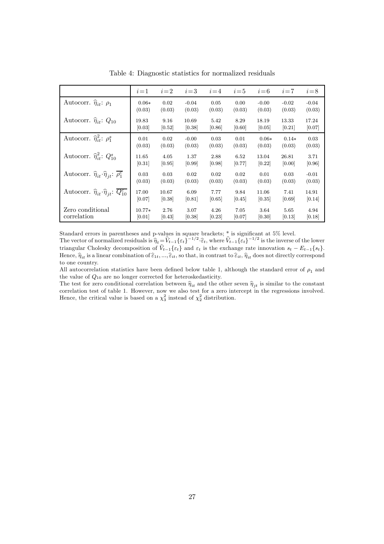|                                                                           | $i=1$    | $i=2$  | $i=3$   | $i = 4$ | $i=5$  | $i=6$   | $i=7$   | $i=8$   |
|---------------------------------------------------------------------------|----------|--------|---------|---------|--------|---------|---------|---------|
| Autocorr. $\hat{\eta}_{it}$ : $\rho_1$                                    | $0.06*$  | 0.02   | $-0.04$ | 0.05    | 0.00   | $-0.00$ | $-0.02$ | $-0.04$ |
|                                                                           | (0.03)   | (0.03) | (0.03)  | (0.03)  | (0.03) | (0.03)  | (0.03)  | (0.03)  |
| Autocorr. $\hat{\eta}_{it}$ : $Q_{10}$                                    | 19.83    | 9.16   | 10.69   | 5.42    | 8.29   | 18.19   | 13.33   | 17.24   |
|                                                                           | [0.03]   | [0.52] | [0.38]  | [0.86]  | [0.60] | [0.05]  | [0.21]  | 0.07    |
| Autocorr. $\hat{\eta}_{it}^2$ : $\rho_1^s$                                | 0.01     | 0.02   | $-0.00$ | 0.03    | 0.01   | $0.06*$ | $0.14*$ | 0.03    |
|                                                                           | (0.03)   | (0.03) | (0.03)  | (0.03)  | (0.03) | (0.03)  | (0.03)  | (0.03)  |
| Autocorr. $\hat{\eta}_{it}^2$ : $Q_{10}^s$                                | 11.65    | 4.05   | 1.37    | 2.88    | 6.52   | 13.04   | 26.81   | 3.71    |
|                                                                           | [0.31]   | [0.95] | [0.99]  | [0.98]  | [0.77] | [0.22]  | [0.00]  | [0.96]  |
| Autocorr. $\hat{\eta}_{it} \cdot \hat{\eta}_{jt}$ : $\overline{\rho_1^c}$ | 0.03     | 0.03   | 0.02    | 0.02    | 0.02   | 0.01    | 0.03    | $-0.01$ |
|                                                                           | (0.03)   | (0.03) | (0.03)  | (0.03)  | (0.03) | (0.03)  | (0.03)  | (0.03)  |
| Autocorr. $\hat{\eta}_{it} \cdot \hat{\eta}_{jt}$ : $\overline{Q_{10}^c}$ | 17.00    | 10.67  | 6.09    | 7.77    | 9.84   | 11.06   | 7.41    | 14.91   |
|                                                                           | [0.07]   | [0.38] | [0.81]  | [0.65]  | [0.45] | [0.35]  | [0.69]  | 0.14    |
| Zero conditional                                                          | $10.77*$ | 2.76   | 3.07    | 4.26    | 7.05   | 3.64    | 5.65    | 4.94    |
| correlation                                                               | [0.01]   | [0.43] | [0.38]  | [0.23]  | [0.07] | [0.30]  | [0.13]  | 0.18    |

Table 4: Diagnostic statistics for normalized residuals

Standard errors in parentheses and p-values in square brackets; \* is significant at 5% level.<br>The vector of normalized residuals is  $\hat{\eta}_t = \hat{V}_{t-1} \{\varepsilon_t\}^{-1/2} \cdot \hat{\varepsilon}_t$ , where  $\hat{V}_{t-1} \{\varepsilon_t\}^{-1/2}$  is the inverse triangular Cholesky decomposition of  $\hat{V}_{t-1}\{\varepsilon_t\}$  and  $\varepsilon_t$  is the exchange rate innovation  $s_t - E_{t-1}\{s_t\}$ . Hence,  $\hat{\eta}_{it}$  is a linear combination of  $\hat{\varepsilon}_{1t}$ ,  $...\hat{\varepsilon}_{it}$ , so that, in contrast to  $\hat{\varepsilon}_{it}$ ,  $\hat{\eta}_{it}$  does not directly correspond to one country.

All autocorrelation statistics have been defined below table 1, although the standard error of  $\rho_1$  and the value of  $Q_{10}$  are no longer corrected for heteroskedasticity.

The test for zero conditional correlation between  $\hat{\eta}_{it}$  and the other seven  $\hat{\eta}_{it}$  is similar to the constant correlation test of table 1. However, now we also test for a zero intercept in the regressions involved. Hence, the critical value is based on a  $\chi^2$  instead of  $\chi^2$  distribution.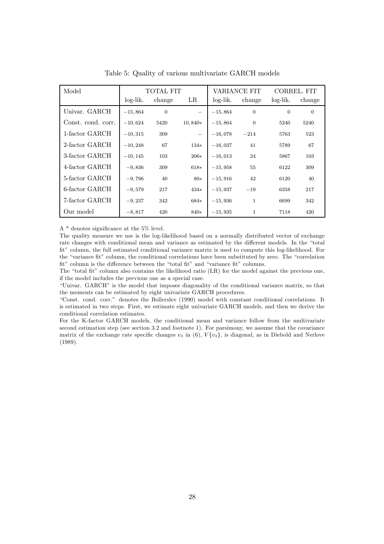| Model              | TOTAL FIT  |                |           |           | VARIANCE FIT | CORREL FIT     |                |
|--------------------|------------|----------------|-----------|-----------|--------------|----------------|----------------|
|                    | $log-lik.$ | change         | $_{LR}$   | log-lik.  | change       | $log-lik.$     | change         |
| Univar. GARCH      | $-15,864$  | $\overline{0}$ |           | $-15,864$ | $\mathbf{0}$ | $\overline{0}$ | $\overline{0}$ |
| Const. cond. corr. | $-10,624$  | 5420           | $10,840*$ | $-15,864$ | $\Omega$     | 5240           | 5240           |
| 1-factor GARCH     | $-10,315$  | 309            |           | $-16,078$ | $-214$       | 5763           | 523            |
| 2-factor GARCH     | $-10,248$  | 67             | $134*$    | $-16,037$ | 41           | 5789           | 67             |
| 3-factor GARCH     | $-10, 145$ | 103            | $206*$    | $-16,013$ | 24           | 5867           | 103            |
| 4-factor GARCH     | $-9,836$   | 309            | $618*$    | $-15,958$ | 55           | 6122           | 309            |
| 5-factor GARCH     | $-9,796$   | 40             | $80*$     | $-15,916$ | 42           | 6120           | 40             |
| 6-factor GARCH     | $-9,579$   | 217            | $434*$    | $-15,937$ | $-19$        | 6358           | 217            |
| 7-factor GARCH     | $-9,237$   | 342            | 684*      | $-15,936$ | $\mathbf{1}$ | 6699           | 342            |
| Our model          | $-8,817$   | 420            | $840*$    | $-15,935$ | $\mathbf{1}$ | 7118           | 420            |

Table 5: Quality of various multivariate GARCH models

A  $*$  denotes significance at the 5% level.

The quality measure we use is the log-likelihood based on a normally distributed vector of exchange rate changes with conditional mean and variance as estimated by the different models. In the "total fit" column, the full estimated conditional variance matrix is used to compute this log-likelihood. For the "variance fit" column, the conditional correlations have been substituted by zero. The "correlation" fit" column is the difference between the "total fit" and "variance fit" columns.

The "total fit" column also contains the likelihood ratio (LR) for the model against the previous one, if the model includes the previous one as a special case.

ìUnivar. GARCHî is the model that imposes diagonality of the conditional variance matrix, so that the moments can be estimated by eight univariate GARCH procedures.

ìConst. cond. corr.î denotes the Bollerslev (1990) model with constant conditional correlations. It is estimated in two steps. First, we estimate eight univariate GARCH models, and then we derive the conditional correlation estimates.

For the K-factor GARCH models, the conditional mean and variance follow from the multivariate second estimation step (see section 3.2 and footnote 1). For parsimony, we assume that the covariance matrix of the exchange rate specific changes  $v_t$  in (6),  $V{v_t}$  is diagonal, as in Diebold and Nerlove (1989).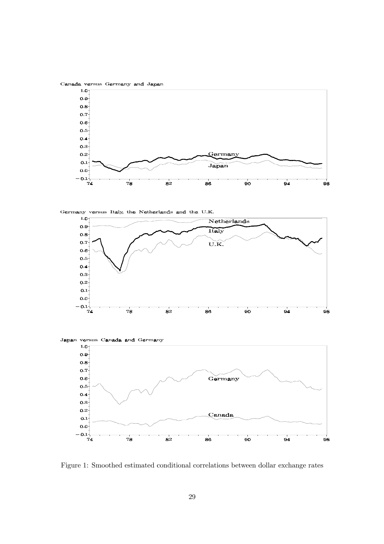Canada versus Germany and Japan



versus Italy, the Netherlands and the U.K. Germany



Japan versus Canada and Germany



Figure 1: Smoothed estimated conditional correlations between dollar exchange rates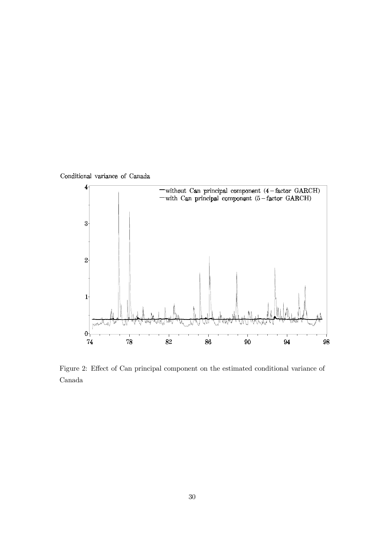

Figure 2: Effect of Can principal component on the estimated conditional variance of Canada